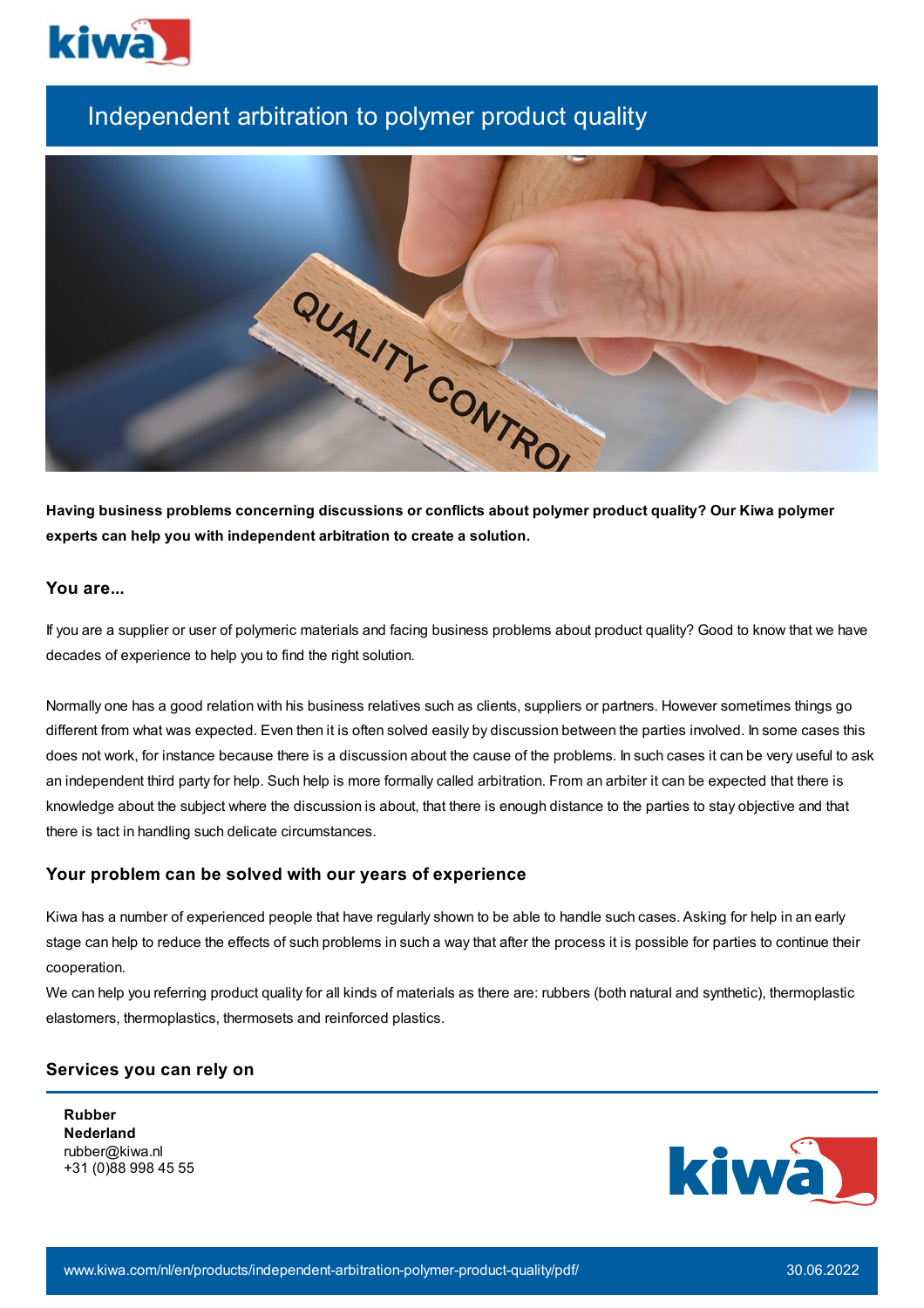

# Independent arbitration to polymer product quality



**Having business problems concerning discussions or conflicts about polymer product quality? Our Kiwa polymer experts can help you with independent arbitration to create a solution.**

# **You are...**

If you are a supplier or user of polymeric materials and facing business problems about product quality? Good to know that we have decades of experience to help you to find the right solution.

Normally one has a good relation with his business relatives such as clients, suppliers or partners. However sometimes things go different from what was expected. Even then it is often solved easily by discussion between the parties involved. In some cases this does not work, for instance because there is a discussion about the cause of the problems. In such cases it can be very useful to ask an independent third party for help. Such help is more formally called arbitration. From an arbiter it can be expected that there is knowledge about the subject where the discussion is about, that there is enough distance to the parties to stay objective and that there is tact in handling such delicate circumstances.

### **Your problem can be solved with our years of experience**

Kiwa has a number of experienced people that have regularly shown to be able to handle such cases. Asking for help in an early stage can help to reduce the effects of such problems in such a way that after the process it is possible for parties to continue their cooperation.

We can help you referring product quality for all kinds of materials as there are: rubbers (both natural and synthetic), thermoplastic elastomers, thermoplastics, thermosets and reinforced plastics.

### **Services you can rely on**

**Rubber Nederland** rubber@kiwa.nl +31 (0)88 998 45 55